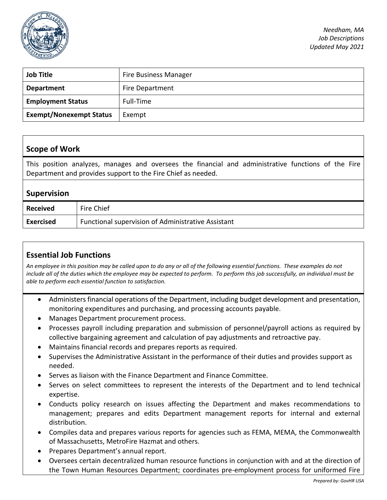

| <b>Job Title</b>               | <b>Fire Business Manager</b> |
|--------------------------------|------------------------------|
| <b>Department</b>              | Fire Department              |
| <b>Employment Status</b>       | Full-Time                    |
| <b>Exempt/Nonexempt Status</b> | Exempt                       |

#### **Scope of Work**

This position analyzes, manages and oversees the financial and administrative functions of the Fire Department and provides support to the Fire Chief as needed.

#### **Supervision**

| Received  | Fire Chief                                         |
|-----------|----------------------------------------------------|
| Exercised | Functional supervision of Administrative Assistant |

## **Essential Job Functions**

*An employee in this position may be called upon to do any or all of the following essential functions. These examples do not include all of the duties which the employee may be expected to perform. To perform this job successfully, an individual must be able to perform each essential function to satisfaction.* 

- Administers financial operations of the Department, including budget development and presentation, monitoring expenditures and purchasing, and processing accounts payable.
- Manages Department procurement process.
- Processes payroll including preparation and submission of personnel/payroll actions as required by collective bargaining agreement and calculation of pay adjustments and retroactive pay.
- Maintains financial records and prepares reports as required.
- Supervises the Administrative Assistant in the performance of their duties and provides support as needed.
- Serves as liaison with the Finance Department and Finance Committee.
- Serves on select committees to represent the interests of the Department and to lend technical expertise.
- Conducts policy research on issues affecting the Department and makes recommendations to management; prepares and edits Department management reports for internal and external distribution.
- Compiles data and prepares various reports for agencies such as FEMA, MEMA, the Commonwealth of Massachusetts, MetroFire Hazmat and others.
- Prepares Department's annual report.
- Oversees certain decentralized human resource functions in conjunction with and at the direction of the Town Human Resources Department; coordinates pre-employment process for uniformed Fire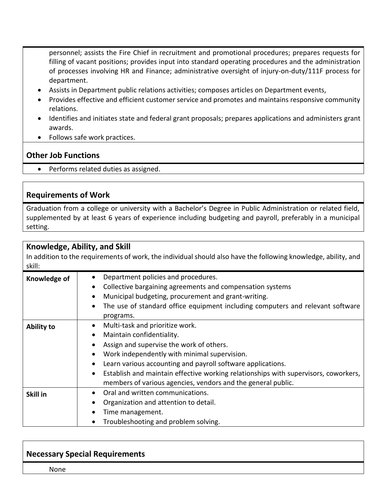personnel; assists the Fire Chief in recruitment and promotional procedures; prepares requests for filling of vacant positions; provides input into standard operating procedures and the administration of processes involving HR and Finance; administrative oversight of injury-on-duty/111F process for department.

- Assists in Department public relations activities; composes articles on Department events,
- Provides effective and efficient customer service and promotes and maintains responsive community relations.
- Identifies and initiates state and federal grant proposals; prepares applications and administers grant awards.
- Follows safe work practices.

### **Other Job Functions**

• Performs related duties as assigned.

#### **Requirements of Work**

Graduation from a college or university with a Bachelor's Degree in Public Administration or related field, supplemented by at least 6 years of experience including budgeting and payroll, preferably in a municipal setting.

| Knowledge, Ability, and Skill<br>In addition to the requirements of work, the individual should also have the following knowledge, ability, and<br>skill: |                                                                                                                                                                                                                                                                                                                                                                                                                                                 |  |
|-----------------------------------------------------------------------------------------------------------------------------------------------------------|-------------------------------------------------------------------------------------------------------------------------------------------------------------------------------------------------------------------------------------------------------------------------------------------------------------------------------------------------------------------------------------------------------------------------------------------------|--|
| Knowledge of                                                                                                                                              | Department policies and procedures.<br>$\bullet$<br>Collective bargaining agreements and compensation systems<br>$\bullet$<br>Municipal budgeting, procurement and grant-writing.<br>$\bullet$<br>The use of standard office equipment including computers and relevant software<br>$\bullet$<br>programs.                                                                                                                                      |  |
| <b>Ability to</b>                                                                                                                                         | Multi-task and prioritize work.<br>$\bullet$<br>Maintain confidentiality.<br>$\bullet$<br>Assign and supervise the work of others.<br>Work independently with minimal supervision.<br>$\bullet$<br>Learn various accounting and payroll software applications.<br>$\bullet$<br>Establish and maintain effective working relationships with supervisors, coworkers,<br>$\bullet$<br>members of various agencies, vendors and the general public. |  |
| Skill in                                                                                                                                                  | Oral and written communications.<br>$\bullet$<br>Organization and attention to detail.<br>Time management.<br>Troubleshooting and problem solving.                                                                                                                                                                                                                                                                                              |  |

### **Necessary Special Requirements**

None